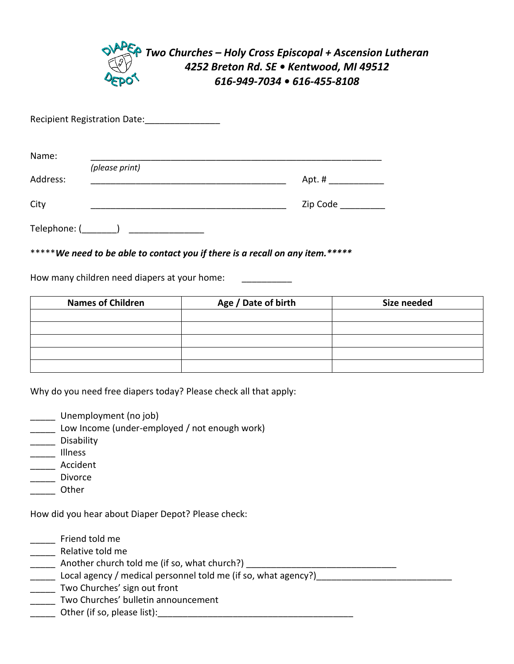

Recipient Registration Date: \_\_\_\_\_\_\_\_\_\_\_\_\_\_\_\_

| Name:        |                |          |
|--------------|----------------|----------|
|              | (please print) |          |
| Address:     |                | Apt. #   |
| City         |                | Zip Code |
| Telephone: ( |                |          |

\*\*\*\*\**We need to be able to contact you if there is a recall on any item.\*\*\*\*\**

How many children need diapers at your home:

| <b>Names of Children</b> | Age / Date of birth | Size needed |
|--------------------------|---------------------|-------------|
|                          |                     |             |
|                          |                     |             |
|                          |                     |             |
|                          |                     |             |
|                          |                     |             |

Why do you need free diapers today? Please check all that apply:

- Unemployment (no job)
- \_\_\_\_\_ Low Income (under-employed / not enough work)
- \_\_\_\_\_ Disability
- \_\_\_\_\_ Illness
- \_\_\_\_\_ Accident
- Land Divorce
- \_\_\_\_\_ Other

How did you hear about Diaper Depot? Please check:

- \_\_\_\_\_ Friend told me
- \_\_\_\_\_\_ Relative told me
- \_\_\_\_\_\_\_\_\_ Another church told me (if so, what church?)
- Local agency / medical personnel told me (if so, what agency?)
- \_\_\_\_\_ Two Churches' sign out front
- Two Churches' bulletin announcement
- \_\_\_\_\_ Other (if so, please list):\_\_\_\_\_\_\_\_\_\_\_\_\_\_\_\_\_\_\_\_\_\_\_\_\_\_\_\_\_\_\_\_\_\_\_\_\_\_\_